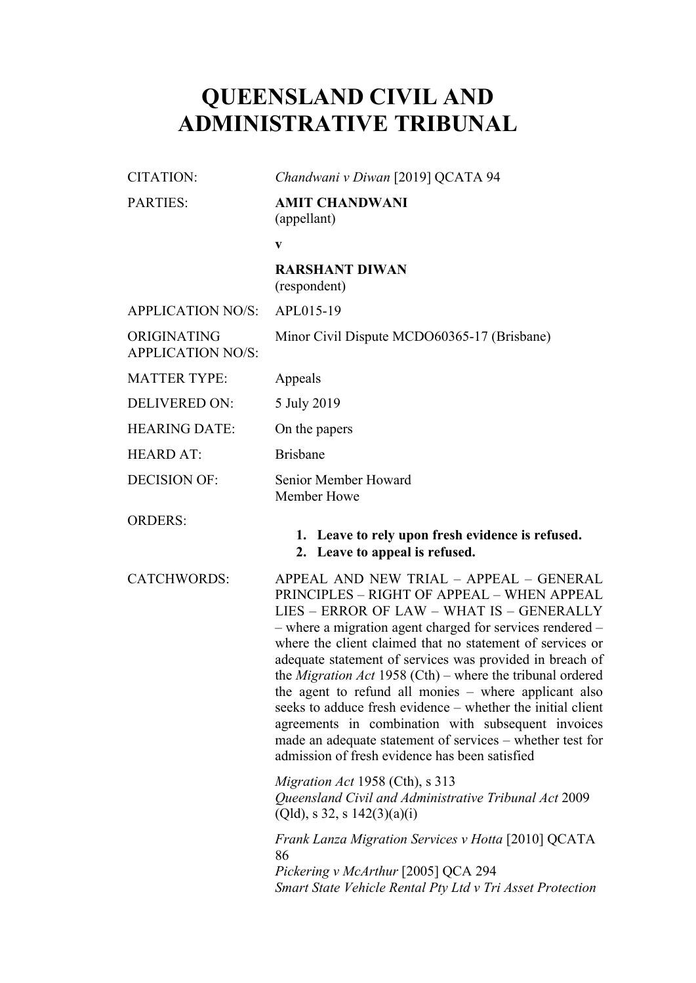# **QUEENSLAND CIVIL AND ADMINISTRATIVE TRIBUNAL**

| <b>CITATION:</b>                        | Chandwani v Diwan [2019] QCATA 94                                                                                                                                                                                                                                                                                                                                                                                                                                                                                                                                                                                                                                                         |
|-----------------------------------------|-------------------------------------------------------------------------------------------------------------------------------------------------------------------------------------------------------------------------------------------------------------------------------------------------------------------------------------------------------------------------------------------------------------------------------------------------------------------------------------------------------------------------------------------------------------------------------------------------------------------------------------------------------------------------------------------|
| <b>PARTIES:</b>                         | <b>AMIT CHANDWANI</b><br>(appellant)                                                                                                                                                                                                                                                                                                                                                                                                                                                                                                                                                                                                                                                      |
|                                         | V                                                                                                                                                                                                                                                                                                                                                                                                                                                                                                                                                                                                                                                                                         |
|                                         | <b>RARSHANT DIWAN</b><br>(respondent)                                                                                                                                                                                                                                                                                                                                                                                                                                                                                                                                                                                                                                                     |
| <b>APPLICATION NO/S:</b>                | APL015-19                                                                                                                                                                                                                                                                                                                                                                                                                                                                                                                                                                                                                                                                                 |
| ORIGINATING<br><b>APPLICATION NO/S:</b> | Minor Civil Dispute MCDO60365-17 (Brisbane)                                                                                                                                                                                                                                                                                                                                                                                                                                                                                                                                                                                                                                               |
| <b>MATTER TYPE:</b>                     | Appeals                                                                                                                                                                                                                                                                                                                                                                                                                                                                                                                                                                                                                                                                                   |
| <b>DELIVERED ON:</b>                    | 5 July 2019                                                                                                                                                                                                                                                                                                                                                                                                                                                                                                                                                                                                                                                                               |
| <b>HEARING DATE:</b>                    | On the papers                                                                                                                                                                                                                                                                                                                                                                                                                                                                                                                                                                                                                                                                             |
| <b>HEARD AT:</b>                        | <b>Brisbane</b>                                                                                                                                                                                                                                                                                                                                                                                                                                                                                                                                                                                                                                                                           |
| <b>DECISION OF:</b>                     | Senior Member Howard<br>Member Howe                                                                                                                                                                                                                                                                                                                                                                                                                                                                                                                                                                                                                                                       |
| <b>ORDERS:</b>                          | 1. Leave to rely upon fresh evidence is refused.<br>2. Leave to appeal is refused.                                                                                                                                                                                                                                                                                                                                                                                                                                                                                                                                                                                                        |
| <b>CATCHWORDS:</b>                      | APPEAL AND NEW TRIAL - APPEAL - GENERAL<br>PRINCIPLES - RIGHT OF APPEAL - WHEN APPEAL<br>LIES - ERROR OF LAW - WHAT IS - GENERALLY<br>- where a migration agent charged for services rendered -<br>where the client claimed that no statement of services or<br>adequate statement of services was provided in breach of<br>the <i>Migration Act</i> 1958 (Cth) – where the tribunal ordered<br>the agent to refund all monies - where applicant also<br>seeks to adduce fresh evidence – whether the initial client<br>agreements in combination with subsequent invoices<br>made an adequate statement of services – whether test for<br>admission of fresh evidence has been satisfied |
|                                         | Migration Act 1958 (Cth), s 313<br>Queensland Civil and Administrative Tribunal Act 2009<br>(Qld), s 32, s 142(3)(a)(i)                                                                                                                                                                                                                                                                                                                                                                                                                                                                                                                                                                   |
|                                         | <i>Frank Lanza Migration Services v Hotta</i> [2010] QCATA<br>86<br>Pickering v McArthur [2005] QCA 294<br>Smart State Vehicle Rental Pty Ltd v Tri Asset Protection                                                                                                                                                                                                                                                                                                                                                                                                                                                                                                                      |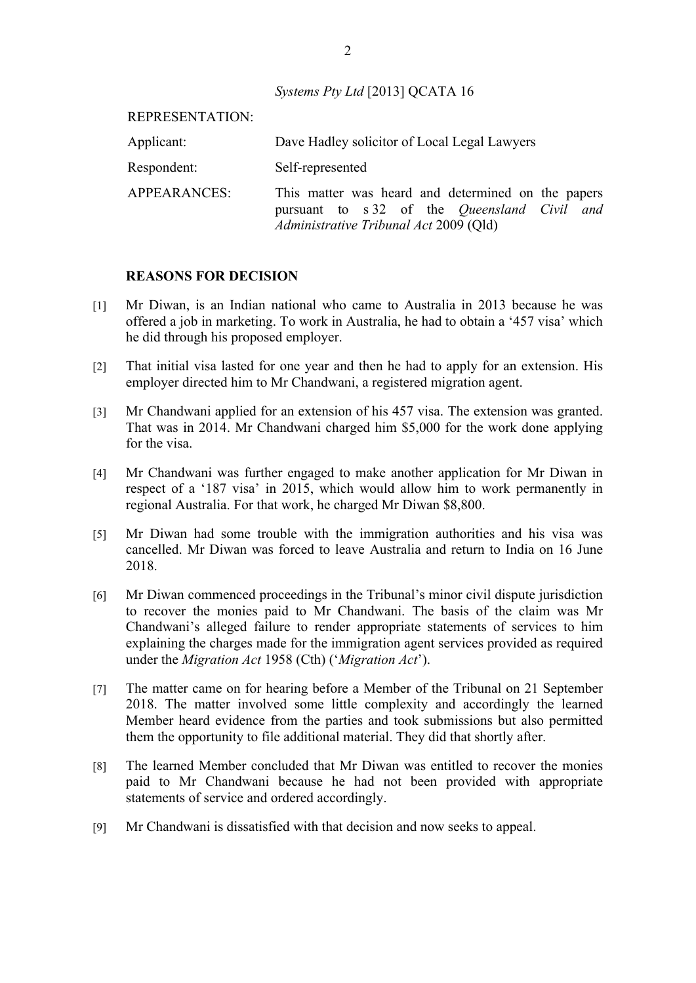*Systems Pty Ltd* [2013] QCATA 16

| REPRESENTATION: |                                                                                                                                              |  |  |
|-----------------|----------------------------------------------------------------------------------------------------------------------------------------------|--|--|
| Applicant:      | Dave Hadley solicitor of Local Legal Lawyers                                                                                                 |  |  |
| Respondent:     | Self-represented                                                                                                                             |  |  |
| APPEARANCES:    | This matter was heard and determined on the papers<br>pursuant to s 32 of the Queensland Civil and<br>Administrative Tribunal Act 2009 (Qld) |  |  |

#### **REASONS FOR DECISION**

- [1] Mr Diwan, is an Indian national who came to Australia in 2013 because he was offered a job in marketing. To work in Australia, he had to obtain a '457 visa' which he did through his proposed employer.
- [2] That initial visa lasted for one year and then he had to apply for an extension. His employer directed him to Mr Chandwani, a registered migration agent.
- [3] Mr Chandwani applied for an extension of his 457 visa. The extension was granted. That was in 2014. Mr Chandwani charged him \$5,000 for the work done applying for the visa.
- [4] Mr Chandwani was further engaged to make another application for Mr Diwan in respect of a '187 visa' in 2015, which would allow him to work permanently in regional Australia. For that work, he charged Mr Diwan \$8,800.
- [5] Mr Diwan had some trouble with the immigration authorities and his visa was cancelled. Mr Diwan was forced to leave Australia and return to India on 16 June 2018.
- [6] Mr Diwan commenced proceedings in the Tribunal's minor civil dispute jurisdiction to recover the monies paid to Mr Chandwani. The basis of the claim was Mr Chandwani's alleged failure to render appropriate statements of services to him explaining the charges made for the immigration agent services provided as required under the *Migration Act* 1958 (Cth) ('*Migration Act*').
- [7] The matter came on for hearing before a Member of the Tribunal on 21 September 2018. The matter involved some little complexity and accordingly the learned Member heard evidence from the parties and took submissions but also permitted them the opportunity to file additional material. They did that shortly after.
- [8] The learned Member concluded that Mr Diwan was entitled to recover the monies paid to Mr Chandwani because he had not been provided with appropriate statements of service and ordered accordingly.
- [9] Mr Chandwani is dissatisfied with that decision and now seeks to appeal.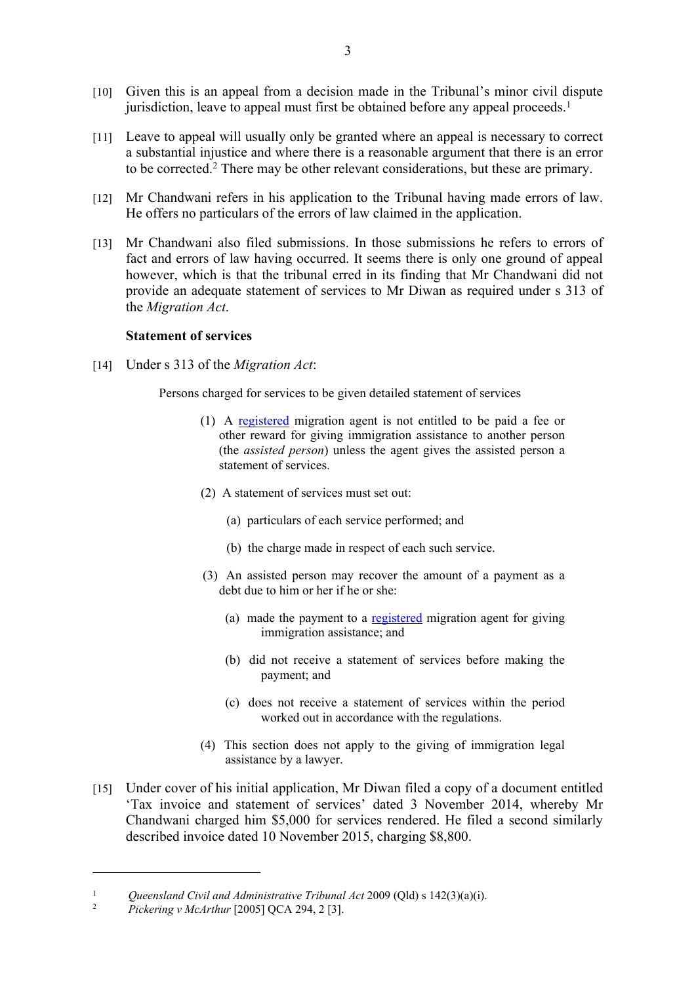- [10] Given this is an appeal from a decision made in the Tribunal's minor civil dispute jurisdiction, leave to appeal must first be obtained before any appeal proceeds.<sup>1</sup>
- [11] Leave to appeal will usually only be granted where an appeal is necessary to correct a substantial injustice and where there is a reasonable argument that there is an error to be corrected.<sup>2</sup> There may be other relevant considerations, but these are primary.
- [12] Mr Chandwani refers in his application to the Tribunal having made errors of law. He offers no particulars of the errors of law claimed in the application.
- [13] Mr Chandwani also filed submissions. In those submissions he refers to errors of fact and errors of law having occurred. It seems there is only one ground of appeal however, which is that the tribunal erred in its finding that Mr Chandwani did not provide an adequate statement of services to Mr Diwan as required under s 313 of the *Migration Act*.

### **Statement of services**

[14] Under s 313 of the *Migration Act*:

Persons charged for services to be given detailed statement of services

- (1) A registered migration agent is not entitled to be paid a fee or other reward for giving immigration assistance to another person (the *assisted person*) unless the agent gives the assisted person a statement of services.
- (2) A statement of services must set out:
	- (a) particulars of each service performed; and
	- (b) the charge made in respect of each such service.
- (3) An assisted person may recover the amount of a payment as a debt due to him or her if he or she:
	- (a) made the payment to a registered migration agent for giving immigration assistance; and
	- (b) did not receive a statement of services before making the payment; and
	- (c) does not receive a statement of services within the period worked out in accordance with the regulations.
- (4) This section does not apply to the giving of immigration legal assistance by a lawyer.
- [15] Under cover of his initial application, Mr Diwan filed a copy of a document entitled 'Tax invoice and statement of services' dated 3 November 2014, whereby Mr Chandwani charged him \$5,000 for services rendered. He filed a second similarly described invoice dated 10 November 2015, charging \$8,800.

<sup>&</sup>lt;sup>1</sup> *Queensland Civil and Administrative Tribunal Act* 2009 (Qld) s 142(3)(a)(i).<br><sup>2</sup> *Dickering y Mo Arthur* [2005] OCA 204, 2.131

<sup>2</sup> *Pickering v McArthur* [2005] QCA 294, 2 [3].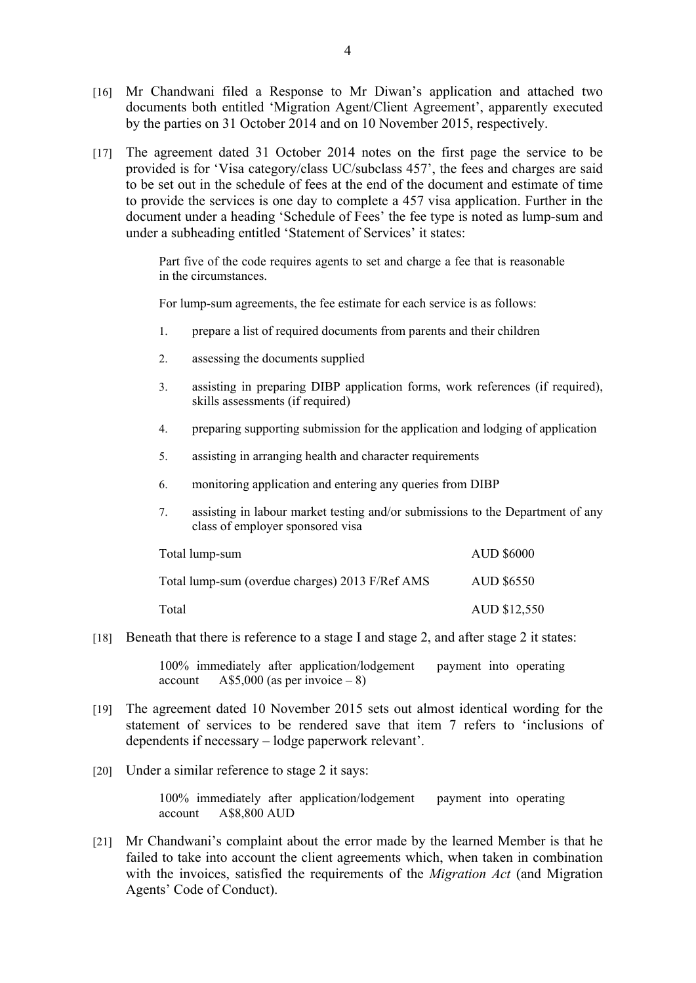- [16] Mr Chandwani filed a Response to Mr Diwan's application and attached two documents both entitled 'Migration Agent/Client Agreement', apparently executed by the parties on 31 October 2014 and on 10 November 2015, respectively.
- [17] The agreement dated 31 October 2014 notes on the first page the service to be provided is for 'Visa category/class UC/subclass 457', the fees and charges are said to be set out in the schedule of fees at the end of the document and estimate of time to provide the services is one day to complete a 457 visa application. Further in the document under a heading 'Schedule of Fees' the fee type is noted as lump-sum and under a subheading entitled 'Statement of Services' it states:

Part five of the code requires agents to set and charge a fee that is reasonable in the circumstances.

For lump-sum agreements, the fee estimate for each service is as follows:

- 1. prepare a list of required documents from parents and their children
- 2. assessing the documents supplied
- 3. assisting in preparing DIBP application forms, work references (if required), skills assessments (if required)
- 4. preparing supporting submission for the application and lodging of application
- 5. assisting in arranging health and character requirements
- 6. monitoring application and entering any queries from DIBP
- 7. assisting in labour market testing and/or submissions to the Department of any class of employer sponsored visa

| Total lump-sum                                  | <b>AUD \$6000</b> |
|-------------------------------------------------|-------------------|
| Total lump-sum (overdue charges) 2013 F/Ref AMS | <b>AUD \$6550</b> |
| Total                                           | AUD \$12,550      |

[18] Beneath that there is reference to a stage I and stage 2, and after stage 2 it states:

100% immediately after application/lodgement payment into operating  $account$   $A$5,000 (as per invoice - 8)$ 

- [19] The agreement dated 10 November 2015 sets out almost identical wording for the statement of services to be rendered save that item 7 refers to 'inclusions of dependents if necessary – lodge paperwork relevant'.
- [20] Under a similar reference to stage 2 it says:

100% immediately after application/lodgement payment into operating account A\$8,800 AUD

[21] Mr Chandwani's complaint about the error made by the learned Member is that he failed to take into account the client agreements which, when taken in combination with the invoices, satisfied the requirements of the *Migration Act* (and Migration Agents' Code of Conduct).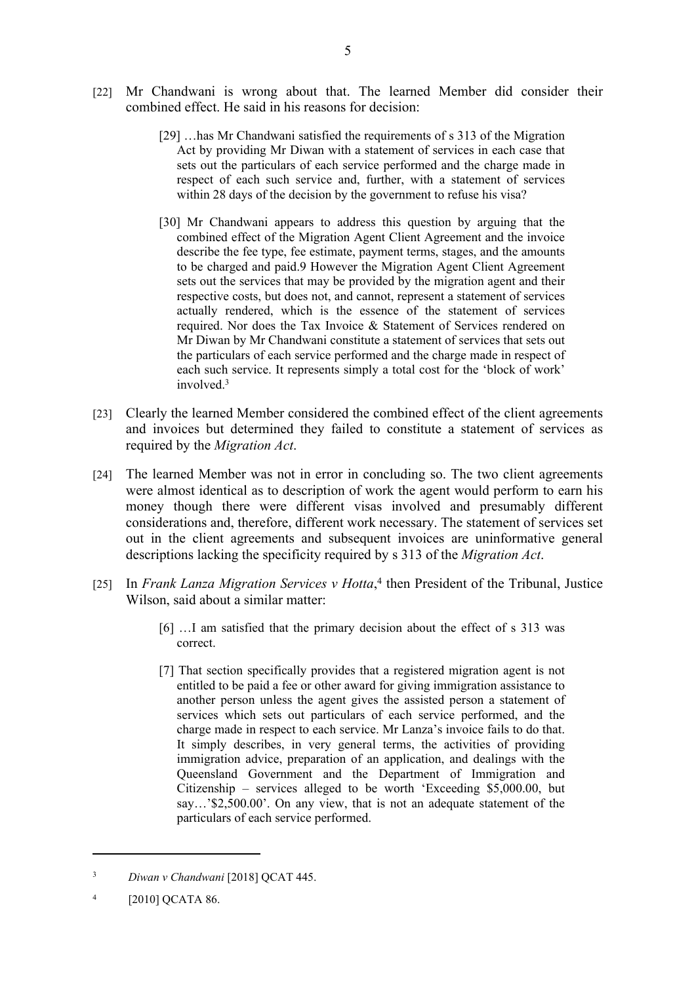- [22] Mr Chandwani is wrong about that. The learned Member did consider their combined effect. He said in his reasons for decision:
	- [29] …has Mr Chandwani satisfied the requirements of s 313 of the Migration Act by providing Mr Diwan with a statement of services in each case that sets out the particulars of each service performed and the charge made in respect of each such service and, further, with a statement of services within 28 days of the decision by the government to refuse his visa?
	- [30] Mr Chandwani appears to address this question by arguing that the combined effect of the Migration Agent Client Agreement and the invoice describe the fee type, fee estimate, payment terms, stages, and the amounts to be charged and paid.9 However the Migration Agent Client Agreement sets out the services that may be provided by the migration agent and their respective costs, but does not, and cannot, represent a statement of services actually rendered, which is the essence of the statement of services required. Nor does the Tax Invoice & Statement of Services rendered on Mr Diwan by Mr Chandwani constitute a statement of services that sets out the particulars of each service performed and the charge made in respect of each such service. It represents simply a total cost for the 'block of work' involved  $3$
- [23] Clearly the learned Member considered the combined effect of the client agreements and invoices but determined they failed to constitute a statement of services as required by the *Migration Act*.
- [24] The learned Member was not in error in concluding so. The two client agreements were almost identical as to description of work the agent would perform to earn his money though there were different visas involved and presumably different considerations and, therefore, different work necessary. The statement of services set out in the client agreements and subsequent invoices are uninformative general descriptions lacking the specificity required by s 313 of the *Migration Act*.
- [25] In *Frank Lanza Migration Services v Hotta*,<sup>4</sup> then President of the Tribunal, Justice Wilson, said about a similar matter:
	- [6] ... I am satisfied that the primary decision about the effect of s 313 was correct.
	- [7] That section specifically provides that a registered migration agent is not entitled to be paid a fee or other award for giving immigration assistance to another person unless the agent gives the assisted person a statement of services which sets out particulars of each service performed, and the charge made in respect to each service. Mr Lanza's invoice fails to do that. It simply describes, in very general terms, the activities of providing immigration advice, preparation of an application, and dealings with the Queensland Government and the Department of Immigration and Citizenship – services alleged to be worth 'Exceeding \$5,000.00, but say…'\$2,500.00'. On any view, that is not an adequate statement of the particulars of each service performed.

<sup>3</sup> *Diwan v Chandwani* [2018] QCAT 445.

<sup>4</sup> [2010] QCATA 86.